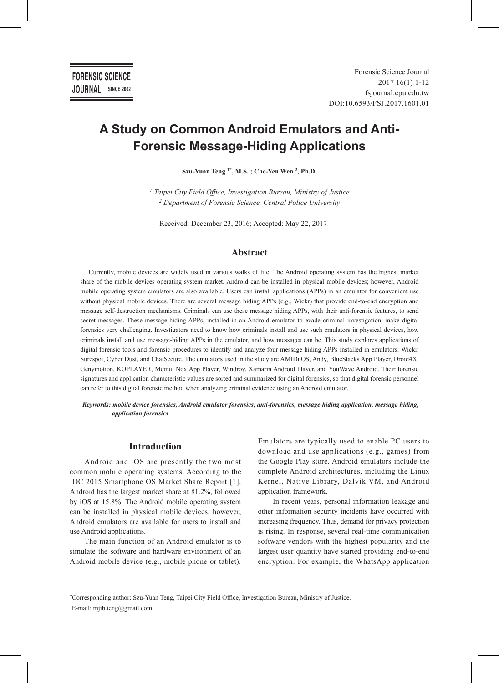# **A Study on Common Android Emulators and Anti-Forensic Message-Hiding Applications**

**Szu-Yuan Teng 1\*, M.S. ; Che-Yen Wen 2, Ph.D.** 

*<sup>1</sup> Taipei City Field Office, Investigation Bureau, Ministry of Justice <sup>2</sup> Department of Forensic Science, Central Police University*

Received: December 23, 2016; Accepted: May 22, 2017.

### **Abstract**

Currently, mobile devices are widely used in various walks of life. The Android operating system has the highest market share of the mobile devices operating system market. Android can be installed in physical mobile devices; however, Android mobile operating system emulators are also available. Users can install applications (APPs) in an emulator for convenient use without physical mobile devices. There are several message hiding APPs (e.g., Wickr) that provide end-to-end encryption and message self-destruction mechanisms. Criminals can use these message hiding APPs, with their anti-forensic features, to send secret messages. These message-hiding APPs, installed in an Android emulator to evade criminal investigation, make digital forensics very challenging. Investigators need to know how criminals install and use such emulators in physical devices, how criminals install and use message-hiding APPs in the emulator, and how messages can be. This study explores applications of digital forensic tools and forensic procedures to identify and analyze four message hiding APPs installed in emulators: Wickr, Surespot, Cyber Dust, and ChatSecure. The emulators used in the study are AMIDuOS, Andy, BlueStacks App Player, Droid4X, Genymotion, KOPLAYER, Memu, Nox App Player, Windroy, Xamarin Android Player, and YouWave Android. Their forensic signatures and application characteristic values are sorted and summarized for digital forensics, so that digital forensic personnel can refer to this digital forensic method when analyzing criminal evidence using an Android emulator.

*Keywords: mobile device forensics, Android emulator forensics, anti-forensics, message hiding application, message hiding, application forensics*

# **Introduction**

Android and iOS are presently the two most common mobile operating systems. According to the IDC 2015 Smartphone OS Market Share Report [1], Android has the largest market share at 81.2%, followed by iOS at 15.8%. The Android mobile operating system can be installed in physical mobile devices; however, Android emulators are available for users to install and use Android applications.

The main function of an Android emulator is to simulate the software and hardware environment of an Android mobile device (e.g., mobile phone or tablet).

Emulators are typically used to enable PC users to download and use applications (e.g., games) from the Google Play store. Android emulators include the complete Android architectures, including the Linux Kernel, Native Library, Dalvik VM, and Android application framework.

In recent years, personal information leakage and other information security incidents have occurred with increasing frequency. Thus, demand for privacy protection is rising. In response, several real-time communication software vendors with the highest popularity and the largest user quantity have started providing end-to-end encryption. For example, the WhatsApp application

*<sup>\*</sup>*Corresponding author: Szu-Yuan Teng, Taipei City Field Office, Investigation Bureau, Ministry of Justice. E-mail: mjib.teng@gmail.com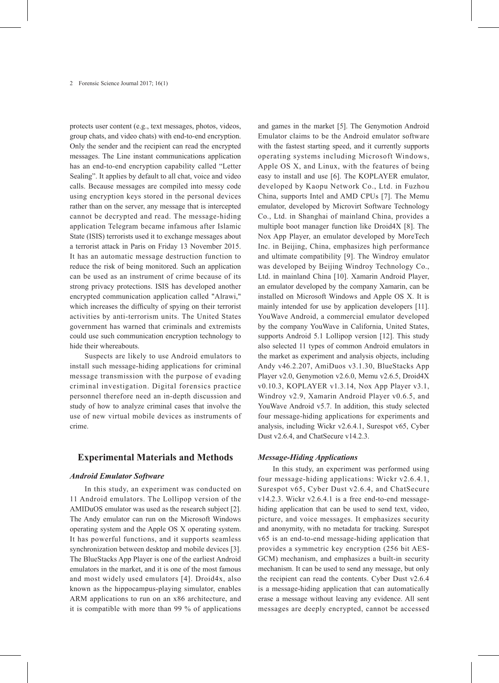protects user content (e.g., text messages, photos, videos, group chats, and video chats) with end-to-end encryption. Only the sender and the recipient can read the encrypted messages. The Line instant communications application has an end-to-end encryption capability called "Letter Sealing". It applies by default to all chat, voice and video calls. Because messages are compiled into messy code using encryption keys stored in the personal devices rather than on the server, any message that is intercepted cannot be decrypted and read. The message-hiding application Telegram became infamous after Islamic State (ISIS) terrorists used it to exchange messages about a terrorist attack in Paris on Friday 13 November 2015. It has an automatic message destruction function to reduce the risk of being monitored. Such an application can be used as an instrument of crime because of its strong privacy protections. ISIS has developed another encrypted communication application called "Alrawi," which increases the difficulty of spying on their terrorist activities by anti-terrorism units. The United States government has warned that criminals and extremists could use such communication encryption technology to hide their whereabouts.

Suspects are likely to use Android emulators to install such message-hiding applications for criminal message transmission with the purpose of evading criminal investigation. Digital forensics practice personnel therefore need an in-depth discussion and study of how to analyze criminal cases that involve the use of new virtual mobile devices as instruments of crime.

### **Experimental Materials and Methods**

#### *Android Emulator Software*

In this study, an experiment was conducted on 11 Android emulators. The Lollipop version of the AMIDuOS emulator was used as the research subject [2]. The Andy emulator can run on the Microsoft Windows operating system and the Apple OS X operating system. It has powerful functions, and it supports seamless synchronization between desktop and mobile devices [3]. The BlueStacks App Player is one of the earliest Android emulators in the market, and it is one of the most famous and most widely used emulators [4]. Droid4x, also known as the hippocampus-playing simulator, enables ARM applications to run on an x86 architecture, and it is compatible with more than 99 % of applications

and games in the market [5]. The Genymotion Android Emulator claims to be the Android emulator software with the fastest starting speed, and it currently supports operating systems including Microsoft Windows, Apple OS X, and Linux, with the features of being easy to install and use [6]. The KOPLAYER emulator, developed by Kaopu Network Co., Ltd. in Fuzhou China, supports Intel and AMD CPUs [7]. The Memu emulator, developed by Microvirt Software Technology Co., Ltd. in Shanghai of mainland China, provides a multiple boot manager function like Droid4X [8]. The Nox App Player, an emulator developed by MoreTech Inc. in Beijing, China, emphasizes high performance and ultimate compatibility [9]. The Windroy emulator was developed by Beijing Windroy Technology Co., Ltd. in mainland China [10]. Xamarin Android Player, an emulator developed by the company Xamarin, can be installed on Microsoft Windows and Apple OS X. It is mainly intended for use by application developers [11]. YouWave Android, a commercial emulator developed by the company YouWave in California, United States, supports Android 5.1 Lollipop version [12]. This study also selected 11 types of common Android emulators in the market as experiment and analysis objects, including Andy v46.2.207, AmiDuos v3.1.30, BlueStacks App Player v2.0, Genymotion v2.6.0, Memu v2.6.5, Droid4X v0.10.3, KOPLAYER v1.3.14, Nox App Player v3.1, Windroy v2.9, Xamarin Android Player v0.6.5, and YouWave Android v5.7. In addition, this study selected four message-hiding applications for experiments and analysis, including Wickr v2.6.4.1, Surespot v65, Cyber Dust v2.6.4, and ChatSecure v14.2.3.

#### *Message-Hiding Applications*

In this study, an experiment was performed using four message-hiding applications: Wickr v2.6.4.1, Surespot v65, Cyber Dust v2.6.4, and ChatSecure v14.2.3. Wickr v2.6.4.1 is a free end-to-end messagehiding application that can be used to send text, video, picture, and voice messages. It emphasizes security and anonymity, with no metadata for tracking. Surespot v65 is an end-to-end message-hiding application that provides a symmetric key encryption (256 bit AES-GCM) mechanism, and emphasizes a built-in security mechanism. It can be used to send any message, but only the recipient can read the contents. Cyber Dust v2.6.4 is a message-hiding application that can automatically erase a message without leaving any evidence. All sent messages are deeply encrypted, cannot be accessed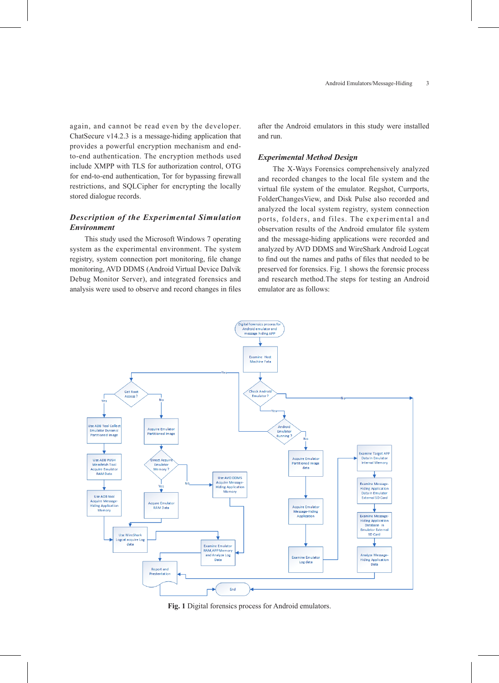again, and cannot be read even by the developer. ChatSecure v14.2.3 is a message-hiding application that provides a powerful encryption mechanism and endto-end authentication. The encryption methods used include XMPP with TLS for authorization control, OTG for end-to-end authentication, Tor for bypassing firewall restrictions, and SQLCipher for encrypting the locally stored dialogue records.

# *Description of the Experimental Simulation Environment*

This study used the Microsoft Windows 7 operating system as the experimental environment. The system registry, system connection port monitoring, file change monitoring, AVD DDMS (Android Virtual Device Dalvik Debug Monitor Server), and integrated forensics and analysis were used to observe and record changes in files

after the Android emulators in this study were installed and run.

### *Experimental Method Design*

The X-Ways Forensics comprehensively analyzed and recorded changes to the local file system and the virtual file system of the emulator. Regshot, Currports, FolderChangesView, and Disk Pulse also recorded and analyzed the local system registry, system connection ports, folders, and files. The experimental and observation results of the Android emulator file system and the message-hiding applications were recorded and analyzed by AVD DDMS and WireShark Android Logcat to find out the names and paths of files that needed to be preserved for forensics. Fig. 1 shows the forensic process and research method.The steps for testing an Android emulator are as follows:



**Fig. 1** Digital forensics process for Android emulators.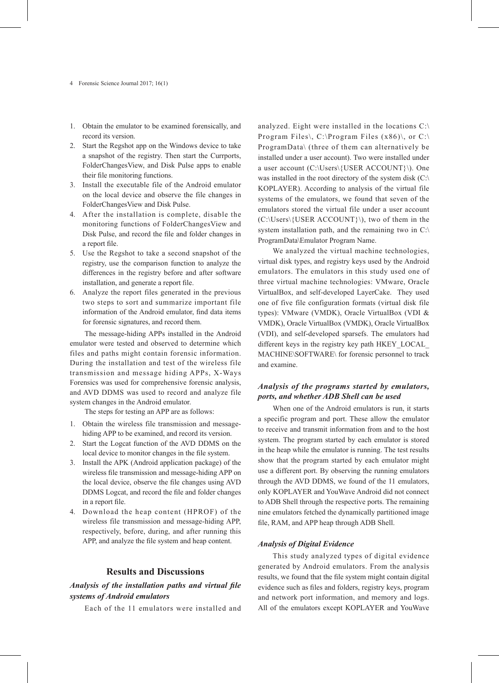- 1. Obtain the emulator to be examined forensically, and record its version.
- 2. Start the Regshot app on the Windows device to take a snapshot of the registry. Then start the Currports, FolderChangesView, and Disk Pulse apps to enable their file monitoring functions.
- 3. Install the executable file of the Android emulator on the local device and observe the file changes in FolderChangesView and Disk Pulse.
- 4. After the installation is complete, disable the monitoring functions of FolderChangesView and Disk Pulse, and record the file and folder changes in a report file.
- 5. Use the Regshot to take a second snapshot of the registry, use the comparison function to analyze the differences in the registry before and after software installation, and generate a report file.
- 6. Analyze the report files generated in the previous two steps to sort and summarize important file information of the Android emulator, find data items for forensic signatures, and record them.

The message-hiding APPs installed in the Android emulator were tested and observed to determine which files and paths might contain forensic information. During the installation and test of the wireless file transmission and message hiding APPs, X-Ways Forensics was used for comprehensive forensic analysis, and AVD DDMS was used to record and analyze file system changes in the Android emulator.

The steps for testing an APP are as follows:

- 1. Obtain the wireless file transmission and messagehiding APP to be examined, and record its version.
- 2. Start the Logcat function of the AVD DDMS on the local device to monitor changes in the file system.
- 3. Install the APK (Android application package) of the wireless file transmission and message-hiding APP on the local device, observe the file changes using AVD DDMS Logcat, and record the file and folder changes in a report file.
- 4. Download the heap content (HPROF) of the wireless file transmission and message-hiding APP, respectively, before, during, and after running this APP, and analyze the file system and heap content.

### **Results and Discussions**

# *Analysis of the installation paths and virtual file systems of Android emulators*

Each of the 11 emulators were installed and

analyzed. Eight were installed in the locations C:\ Program Files\, C:\Program Files (x86)\, or C:\ ProgramData\ (three of them can alternatively be installed under a user account). Two were installed under a user account (C:\Users\{USER ACCOUNT}\). One was installed in the root directory of the system disk (C:\ KOPLAYER). According to analysis of the virtual file systems of the emulators, we found that seven of the emulators stored the virtual file under a user account (C:\Users\{USER ACCOUNT}\), two of them in the system installation path, and the remaining two in C:\ ProgramData\Emulator Program Name.

We analyzed the virtual machine technologies, virtual disk types, and registry keys used by the Android emulators. The emulators in this study used one of three virtual machine technologies: VMware, Oracle VirtualBox, and self-developed LayerCake. They used one of five file configuration formats (virtual disk file types): VMware (VMDK), Oracle VirtualBox (VDI & VMDK), Oracle VirtualBox (VMDK), Oracle VirtualBox (VDI), and self-developed sparsefs. The emulators had different keys in the registry key path HKEY\_LOCAL\_ MACHINE\SOFTWARE\ for forensic personnel to track and examine.

# *Analysis of the programs started by emulators, ports, and whether ADB Shell can be used*

When one of the Android emulators is run, it starts a specific program and port. These allow the emulator to receive and transmit information from and to the host system. The program started by each emulator is stored in the heap while the emulator is running. The test results show that the program started by each emulator might use a different port. By observing the running emulators through the AVD DDMS, we found of the 11 emulators, only KOPLAYER and YouWave Android did not connect to ADB Shell through the respective ports. The remaining nine emulators fetched the dynamically partitioned image file, RAM, and APP heap through ADB Shell.

### *Analysis of Digital Evidence*

This study analyzed types of digital evidence generated by Android emulators. From the analysis results, we found that the file system might contain digital evidence such as files and folders, registry keys, program and network port information, and memory and logs. All of the emulators except KOPLAYER and YouWave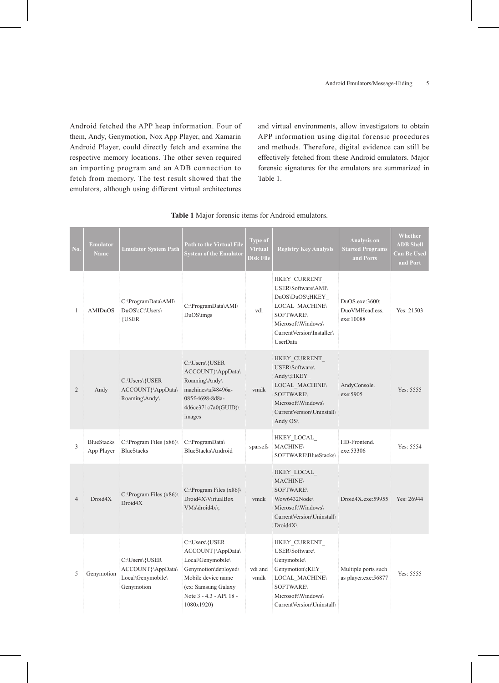Android fetched the APP heap information. Four of them, Andy, Genymotion, Nox App Player, and Xamarin Android Player, could directly fetch and examine the respective memory locations. The other seven required an importing program and an ADB connection to fetch from memory. The test result showed that the emulators, although using different virtual architectures

and virtual environments, allow investigators to obtain APP information using digital forensic procedures and methods. Therefore, digital evidence can still be effectively fetched from these Android emulators. Major forensic signatures for the emulators are summarized in Table 1.

| No.          | <b>Emulator</b><br><b>Name</b>  | <b>Emulator System Path</b>                                            | <b>Path to the Virtual File</b><br><b>System of the Emulator</b>                                                                                                       | <b>Type of</b><br><b>Virtual</b><br><b>Disk File</b> | <b>Registry Key Analysis</b>                                                                                                                                       | <b>Analysis on</b><br><b>Started Programs</b><br>and Ports | Whether<br><b>ADB Shell</b><br><b>Can Be Used</b><br>and Port |
|--------------|---------------------------------|------------------------------------------------------------------------|------------------------------------------------------------------------------------------------------------------------------------------------------------------------|------------------------------------------------------|--------------------------------------------------------------------------------------------------------------------------------------------------------------------|------------------------------------------------------------|---------------------------------------------------------------|
| $\mathbf{1}$ | AMIDuOS                         | C:\ProgramData\AMI\<br>DuOS\;C:\Users\<br>{USER                        | C:\ProgramData\AMI\<br>DuOS\imgs                                                                                                                                       | vdi                                                  | HKEY CURRENT<br>USER\Software\AMI\<br>DuOS\DuOS\;HKEY<br>LOCAL_MACHINE\<br><b>SOFTWARE\</b><br>Microsoft\Windows\<br>CurrentVersion\Installer\<br><b>UserData</b>  | DuOS.exe:3600;<br>DuoVMHeadless.<br>exe:10088              | Yes: $21503$                                                  |
| 2            | Andy                            | C:\Users\{USER<br>ACCOUNT}\AppData\<br>Roaming\Andy\                   | C:\Users\{USER<br>ACCOUNT}\AppData\<br>Roaming\Andy\<br>machines\af48496a-<br>085f-4698-8d8a-<br>4d6ce371c7a0(GUID)<br>images                                          | vmdk                                                 | HKEY CURRENT<br>USER\Software\<br>Andy\;HKEY<br><b>LOCAL MACHINE\</b><br><b>SOFTWARE\</b><br>Microsoft\Windows\<br>CurrentVersion\Uninstall\<br>Andy $OS\setminus$ | AndyConsole.<br>exe: 5905                                  | Yes: 5555                                                     |
| 3            | <b>BlueStacks</b><br>App Player | $C:\P$ rogram Files (x86)<br><b>BlueStacks</b>                         | C:\ProgramData\<br>BlueStacks\Android                                                                                                                                  | sparsefs                                             | HKEY LOCAL<br><b>MACHINE\</b><br>SOFTWARE\BlueStacks\                                                                                                              | HD-Frontend<br>exe:53306                                   | Yes: 5554                                                     |
| 4            | Droid4X                         | C:\Program Files $(x86)$<br>Droid4X                                    | $C:\$ Program Files (x86)<br>Droid4X\VirtualBox<br>$VMs\ldots\ddot{4}x$ .                                                                                              | vmdk                                                 | HKEY LOCAL<br><b>MACHINE\</b><br><b>SOFTWARE\</b><br>Wow6432Node\<br>Microsoft\Windows\<br>CurrentVersion\Uninstall\<br>$Droid4X\$                                 | Droid4X.exe:59955                                          | Yes: 26944                                                    |
| 5            | Genymotion                      | C:\Users\{USER<br>ACCOUNT}\AppData\<br>Local\Genymobile\<br>Genymotion | C:\Users\{USER<br>ACCOUNT}\AppData\<br>Local\Genymobile\<br>Genymotion\deployed\<br>Mobile device name<br>(ex: Samsung Galaxy<br>Note 3 - 4.3 - API 18 -<br>1080x1920) | vdi and<br>vmdk                                      | HKEY CURRENT<br>USER\Software\<br>Genymobile\<br>Genymotion\;KEY<br><b>LOCAL MACHINE\</b><br><b>SOFTWARE\</b><br>Microsoft\Windows\<br>CurrentVersion\Uninstall\   | Multiple ports such<br>as player.exe:56877                 | Yes: 5555                                                     |

# **Table 1** Major forensic items for Android emulators.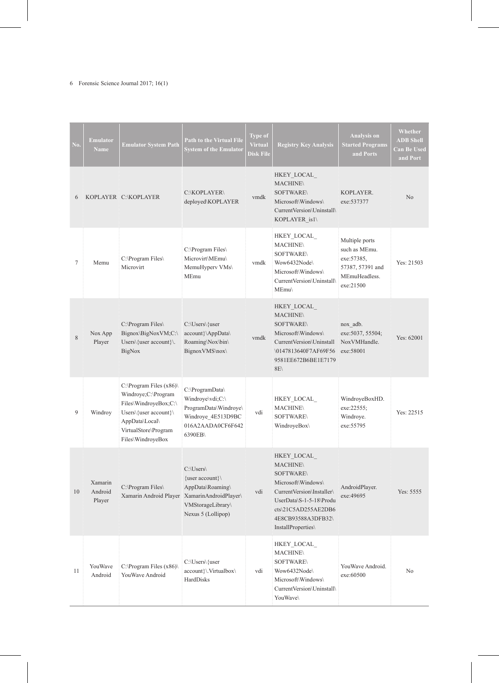# 6 Forensic Science Journal 2017; 16(1)

| No. | <b>Emulator</b><br><b>Name</b> | <b>Emulator System Path</b>                                                                                                                                      | <b>Path to the Virtual File</b><br><b>System of the Emulator</b>                                                   | <b>Type of</b><br><b>Virtual</b><br><b>Disk File</b> | <b>Registry Key Analysis</b>                                                                                                                                                                       | <b>Analysis</b> on<br><b>Started Programs</b><br>and Ports                                       | <b>Whether</b><br><b>ADB Shell</b><br><b>Can Be Used</b><br>and Port |
|-----|--------------------------------|------------------------------------------------------------------------------------------------------------------------------------------------------------------|--------------------------------------------------------------------------------------------------------------------|------------------------------------------------------|----------------------------------------------------------------------------------------------------------------------------------------------------------------------------------------------------|--------------------------------------------------------------------------------------------------|----------------------------------------------------------------------|
| 6   |                                | KOPLAYER C:\KOPLAYER                                                                                                                                             | C:\KOPLAYER\<br>deployed\KOPLAYER                                                                                  | vmdk                                                 | HKEY LOCAL<br><b>MACHINE\</b><br><b>SOFTWARE\</b><br>Microsoft\Windows\<br>Current Version\Uninstall\<br>KOPLAYER isl\                                                                             | KOPLAYER.<br>exe: 537377                                                                         | N <sub>0</sub>                                                       |
| 7   | Memu                           | C:\Program Files\<br>Microvirt                                                                                                                                   | C:\Program Files\<br>Microvirt\MEmu\<br>MemuHyperv VMs<br>MEmu                                                     | vmdk                                                 | HKEY_LOCAL_<br><b>MACHINE</b><br><b>SOFTWARE\</b><br>Wow6432Node<br>Microsoft\Windows\<br>CurrentVersion\Uninstall\<br>MEmu\                                                                       | Multiple ports<br>such as MEmu.<br>exe: 57385,<br>57387, 57391 and<br>MEmuHeadless.<br>exe:21500 | Yes: $21503$                                                         |
| 8   | Nox App<br>Player              | C:\Program Files\<br>Bignox\BigNoxVM;C:\<br>Users $\{\text{user account}\}$ .<br>BigNox                                                                          | C:\Users\{user<br>account}\AppData\<br>Roaming\Nox\bin\<br>BignoxVMS\nox\                                          | vmdk                                                 | HKEY LOCAL<br><b>MACHINE\</b><br><b>SOFTWARE</b><br>Microsoft\Windows\<br>Current Version\Uninstall<br>\0147813640F7AF69F56<br>9581EE672B6BE1E7179<br>8E                                           | nox adb.<br>exe: 5037, 55504;<br>NoxVMHandle.<br>exe:58001                                       | Yes: $62001$                                                         |
| 9   | Windroy                        | C:\Program Files $(x86)$<br>Windroye;C:\Program<br>Files\WindroyeBox;C:\<br>Users\{user account}\<br>AppData\Local\<br>VirtualStore\Program<br>Files\WindroyeBox | C:\ProgramData\<br>Windroye\vdi;C:\<br>ProgramData\Windroye\<br>Windroye 4E513D9BC<br>016A2AADA0CF6F642<br>6390EB\ | vdi                                                  | HKEY LOCAL<br><b>MACHINE\</b><br><b>SOFTWARE\</b><br>WindroyeBox\                                                                                                                                  | WindroyeBoxHD.<br>exe:22555;<br>Windroye.<br>exe: 55795                                          | Yes: 22515                                                           |
| 10  | Xamarin<br>Android<br>Player   | C:\Program Files\<br>Xamarin Android Player Xamarin Android Player                                                                                               | C:\Users\<br>{user account}\<br>AppData\Roaming\<br>VMStorageLibrary\<br>Nexus 5 (Lollipop)                        | vdi                                                  | HKEY_LOCAL_<br><b>MACHINE</b><br><b>SOFTWARE\</b><br>Microsoft\Windows\<br>CurrentVersion\Installer\<br>UserData\S-1-5-18\Produ<br>cts\21C5AD255AE2DB6<br>4E8CB93588A3DFB32\<br>InstallProperties\ | AndroidPlayer.<br>exe: 49695                                                                     | Yes: 5555                                                            |
| 11  | YouWave<br>Android             | C:\Program Files $(x86)$<br>YouWave Android                                                                                                                      | C:\Users\{user<br>account}\.Virtualbox\<br>HardDisks                                                               | vdi                                                  | ${\rm HKEY\_LOCAL}_-$<br><b>MACHINE\</b><br><b>SOFTWARE\</b><br>Wow6432Node\<br>Microsoft\Windows\<br>CurrentVersion\Uninstall\<br>YouWave\                                                        | YouWave Android.<br>exe:60500                                                                    | No                                                                   |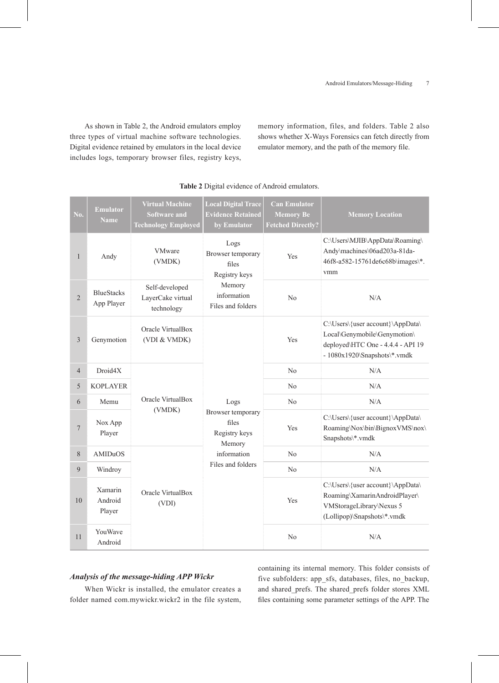As shown in Table 2, the Android emulators employ three types of virtual machine software technologies. Digital evidence retained by emulators in the local device includes logs, temporary browser files, registry keys, memory information, files, and folders. Table 2 also shows whether X-Ways Forensics can fetch directly from emulator memory, and the path of the memory file.

| No.            | <b>Emulator</b><br><b>Name</b>  | <b>Virtual Machine</b><br><b>Software and</b><br><b>Technology Employed</b> | <b>Local Digital Trace</b><br><b>Evidence Retained</b><br>by Emulator                             | <b>Can Emulator</b><br><b>Memory Be</b><br><b>Fetched Directly?</b> | <b>Memory Location</b>                                                                                                                   |
|----------------|---------------------------------|-----------------------------------------------------------------------------|---------------------------------------------------------------------------------------------------|---------------------------------------------------------------------|------------------------------------------------------------------------------------------------------------------------------------------|
| $\mathbf{1}$   | Andy                            | <b>VMware</b><br>(VMDK)                                                     | Logs<br>Browser temporary<br>files<br>Registry keys                                               | Yes                                                                 | C:\Users\MJIB\AppData\Roaming\<br>Andy\machines\06ad203a-81da-<br>46f8-a582-15761de6c68b\images\*.<br>vmm                                |
| $\sqrt{2}$     | <b>BlueStacks</b><br>App Player | Self-developed<br>LayerCake virtual<br>technology                           | Memory<br>information<br>Files and folders                                                        | N <sub>o</sub>                                                      | N/A                                                                                                                                      |
| $\overline{3}$ | Genymotion                      | Oracle VirtualBox<br>(VDI & VMDK)                                           |                                                                                                   | Yes                                                                 | C:\Users\{user account}\AppData\<br>Local\Genymobile\Genymotion\<br>deployed\HTC One - 4.4.4 - API 19<br>- $1080x1920\$ Snapshots\*.vmdk |
| $\overline{4}$ | Droid4X                         |                                                                             | Logs<br>Browser temporary<br>files<br>Registry keys<br>Memory<br>information<br>Files and folders | N <sub>0</sub>                                                      | N/A                                                                                                                                      |
| 5              | <b>KOPLAYER</b>                 |                                                                             |                                                                                                   | N <sub>0</sub>                                                      | N/A                                                                                                                                      |
| 6              | Memu                            | Oracle VirtualBox                                                           |                                                                                                   | N <sub>o</sub>                                                      | $\rm N/A$                                                                                                                                |
| 7              | Nox App<br>Player               | (VMDK)                                                                      |                                                                                                   | Yes                                                                 | C:\Users\{user account}\AppData\<br>Roaming\Nox\bin\BignoxVMS\nox\<br>Snapshots\*.vmdk                                                   |
| $8\,$          | AMIDuOS                         |                                                                             |                                                                                                   | N <sub>0</sub>                                                      | N/A                                                                                                                                      |
| $\overline{9}$ | Windroy                         |                                                                             |                                                                                                   | N <sub>0</sub>                                                      | N/A                                                                                                                                      |
| 10             | Xamarin<br>Android<br>Player    | Oracle VirtualBox<br>(VDI)                                                  |                                                                                                   | Yes                                                                 | C:\Users\{user account}\AppData\<br>Roaming\XamarinAndroidPlayer\<br>VMStorageLibrary\Nexus 5<br>(Lollipop)\Snapshots\*.vmdk             |
| 11             | YouWave<br>Android              |                                                                             |                                                                                                   | N <sub>o</sub>                                                      | N/A                                                                                                                                      |

#### **Table 2** Digital evidence of Android emulators.

# *Analysis of the message-hiding APP Wickr*

When Wickr is installed, the emulator creates a folder named com.mywickr.wickr2 in the file system, containing its internal memory. This folder consists of five subfolders: app\_sfs, databases, files, no\_backup, and shared\_prefs. The shared\_prefs folder stores XML files containing some parameter settings of the APP. The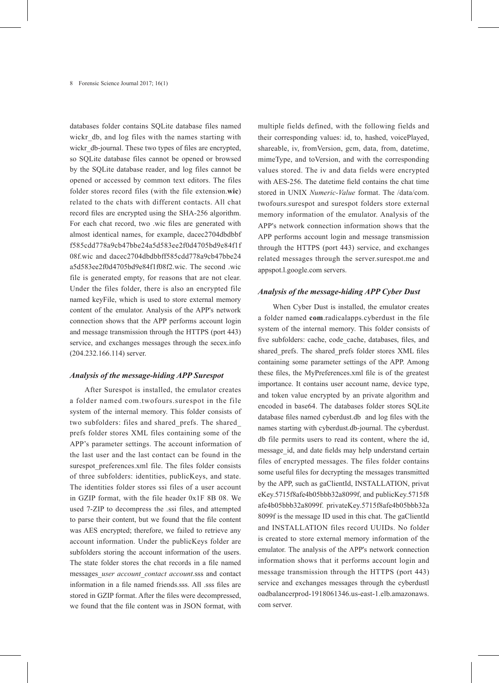databases folder contains SQLite database files named wickr\_db, and log files with the names starting with wickr db-journal. These two types of files are encrypted, so SQLite database files cannot be opened or browsed by the SQLite database reader, and log files cannot be opened or accessed by common text editors. The files folder stores record files (with the file extension.**wic**) related to the chats with different contacts. All chat record files are encrypted using the SHA-256 algorithm. For each chat record, two .wic files are generated with almost identical names, for example, dacec2704dbdbbf f585cdd778a9cb47bbe24a5d583ee2f0d4705bd9e84f1f 08f.wic and dacec2704dbdbbff585cdd778a9cb47bbe24 a5d583ee2f0d4705bd9e84f1f08f2.wic. The second .wic file is generated empty, for reasons that are not clear. Under the files folder, there is also an encrypted file named keyFile, which is used to store external memory content of the emulator. Analysis of the APP's network connection shows that the APP performs account login and message transmission through the HTTPS (port 443) service, and exchanges messages through the secex.info (204.232.166.114) server.

### *Analysis of the message-hiding APP Surespot*

After Surespot is installed, the emulator creates a folder named com.twofours.surespot in the file system of the internal memory. This folder consists of two subfolders: files and shared\_prefs. The shared\_ prefs folder stores XML files containing some of the APP's parameter settings. The account information of the last user and the last contact can be found in the surespot preferences.xml file. The files folder consists of three subfolders: identities, publicKeys, and state. The identities folder stores ssi files of a user account in GZIP format, with the file header 0x1F 8B 08. We used 7-ZIP to decompress the .ssi files, and attempted to parse their content, but we found that the file content was AES encrypted; therefore, we failed to retrieve any account information. Under the publicKeys folder are subfolders storing the account information of the users. The state folder stores the chat records in a file named messages\_*user account\_contact account*.sss and contact information in a file named friends.sss. All .sss files are stored in GZIP format. After the files were decompressed, we found that the file content was in JSON format, with

multiple fields defined, with the following fields and their corresponding values: id, to, hashed, voicePlayed, shareable, iv, fromVersion, gcm, data, from, datetime, mimeType, and toVersion, and with the corresponding values stored. The iv and data fields were encrypted with AES-256. The datetime field contains the chat time stored in UNIX *Numeric-Value* format. The /data/com. twofours.surespot and surespot folders store external memory information of the emulator. Analysis of the APP's network connection information shows that the APP performs account login and message transmission through the HTTPS (port 443) service, and exchanges related messages through the server.surespot.me and appspot.l.google.com servers.

### *Analysis of the message-hiding APP Cyber Dust*

When Cyber Dust is installed, the emulator creates a folder named **com**.radicalapps.cyberdust in the file system of the internal memory. This folder consists of five subfolders: cache, code\_cache, databases, files, and shared\_prefs. The shared\_prefs folder stores XML files containing some parameter settings of the APP. Among these files, the MyPreferences.xml file is of the greatest importance. It contains user account name, device type, and token value encrypted by an private algorithm and encoded in base64. The databases folder stores SQLite database files named cyberdust.db and log files with the names starting with cyberdust.db-journal. The cyberdust. db file permits users to read its content, where the id, message id, and date fields may help understand certain files of encrypted messages. The files folder contains some useful files for decrypting the messages transmitted by the APP, such as gaClientId, INSTALLATION, privat eKey.5715f8afe4b05bbb32a8099f, and publicKey.5715f8 afe4b05bbb32a8099f. privateKey.5715f8afe4b05bbb32a 8099f is the message ID used in this chat. The gaClientId and INSTALLATION files record UUIDs. No folder is created to store external memory information of the emulator. The analysis of the APP's network connection information shows that it performs account login and message transmission through the HTTPS (port 443) service and exchanges messages through the cyberdustl oadbalancerprod-1918061346.us-east-1.elb.amazonaws. com server.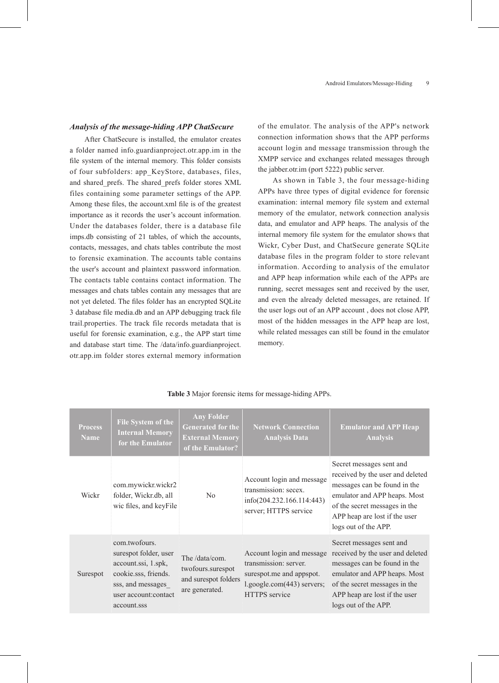### *Analysis of the message-hiding APP ChatSecure*

After ChatSecure is installed, the emulator creates a folder named info.guardianproject.otr.app.im in the file system of the internal memory. This folder consists of four subfolders: app\_KeyStore, databases, files, and shared\_prefs. The shared\_prefs folder stores XML files containing some parameter settings of the APP. Among these files, the account.xml file is of the greatest importance as it records the user's account information. Under the databases folder, there is a database file imps.db consisting of 21 tables, of which the accounts, contacts, messages, and chats tables contribute the most to forensic examination. The accounts table contains the user's account and plaintext password information. The contacts table contains contact information. The messages and chats tables contain any messages that are not yet deleted. The files folder has an encrypted SQLite 3 database file media.db and an APP debugging track file trail.properties. The track file records metadata that is useful for forensic examination, e.g., the APP start time and database start time. The /data/info.guardianproject. otr.app.im folder stores external memory information

of the emulator. The analysis of the APP's network connection information shows that the APP performs account login and message transmission through the XMPP service and exchanges related messages through the jabber.otr.im (port 5222) public server.

As shown in Table 3, the four message-hiding APPs have three types of digital evidence for forensic examination: internal memory file system and external memory of the emulator, network connection analysis data, and emulator and APP heaps. The analysis of the internal memory file system for the emulator shows that Wickr, Cyber Dust, and ChatSecure generate SQLite database files in the program folder to store relevant information. According to analysis of the emulator and APP heap information while each of the APPs are running, secret messages sent and received by the user, and even the already deleted messages, are retained. If the user logs out of an APP account , does not close APP, most of the hidden messages in the APP heap are lost, while related messages can still be found in the emulator memory.

| <b>Process</b><br><b>Name</b> | <b>File System of the</b><br><b>Internal Memory</b><br>for the Emulator                                                                            | <b>Any Folder</b><br>Generated for the<br><b>External Memory</b><br>of the Emulator? | <b>Network Connection</b><br><b>Analysis Data</b>                                                                             | <b>Emulator and APP Heap</b><br><b>Analysis</b>                                                                                                                                                                        |
|-------------------------------|----------------------------------------------------------------------------------------------------------------------------------------------------|--------------------------------------------------------------------------------------|-------------------------------------------------------------------------------------------------------------------------------|------------------------------------------------------------------------------------------------------------------------------------------------------------------------------------------------------------------------|
| Wickr                         | com.mywickr.wickr2<br>folder, Wickr.db, all<br>wic files, and keyFile                                                                              | No.                                                                                  | Account login and message<br>transmission: secex.<br>info(204.232.166.114:443)<br>server; HTTPS service                       | Secret messages sent and<br>received by the user and deleted<br>messages can be found in the<br>emulator and APP heaps. Most<br>of the secret messages in the<br>APP heap are lost if the user<br>logs out of the APP. |
| Surespot                      | com.twofours.<br>surespot folder, user<br>account.ssi, 1.spk,<br>cookie.sss, friends.<br>sss, and messages<br>user account: contact<br>account.sss | The /data/com.<br>twofours.surespot<br>and surespot folders<br>are generated.        | Account login and message<br>transmission: server.<br>surespot.me and appspot.<br>l.google.com(443) servers;<br>HTTPS service | Secret messages sent and<br>received by the user and deleted<br>messages can be found in the<br>emulator and APP heaps. Most<br>of the secret messages in the<br>APP heap are lost if the user<br>logs out of the APP. |

#### **Table 3** Major forensic items for message-hiding APPs.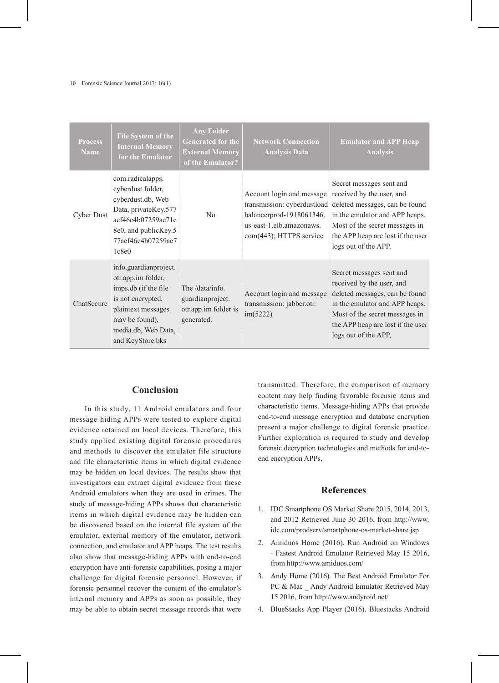#### 10 Forensic Science Journal 2017; 16(1)

| <b>Process</b><br><b>Name</b> | <b>File System of the</b><br><b>Internal Memory</b><br>for the Emulator                                                                                                     | <b>Any Folder</b><br><b>Generated for the</b><br><b>External Memory</b><br>of the Emulator? | <b>Network Connection</b><br><b>Analysis Data</b>                                                            | <b>Emulator and APP Heap</b><br><b>Analysis</b>                                                                                                                                                                                                      |
|-------------------------------|-----------------------------------------------------------------------------------------------------------------------------------------------------------------------------|---------------------------------------------------------------------------------------------|--------------------------------------------------------------------------------------------------------------|------------------------------------------------------------------------------------------------------------------------------------------------------------------------------------------------------------------------------------------------------|
| Cyber Dust                    | com.radicalapps.<br>cyberdust folder,<br>cyberdust.db, Web<br>Data, privateKey.577<br>aef46e4b07259ae71c<br>8e0, and publicKey.5<br>77aef46e4b07259ae7<br>1c8e0             | N <sub>0</sub>                                                                              | Account login and message<br>balancerprod-1918061346.<br>us-east-1.elb.amazonaws.<br>com(443); HTTPS service | Secret messages sent and<br>received by the user, and<br>transmission: cyberdustload deleted messages, can be found<br>in the emulator and APP heaps.<br>Most of the secret messages in<br>the APP heap are lost if the user<br>logs out of the APP. |
| ChatSecure                    | info.guardianproject.<br>otr.app.im folder,<br>imps.db (if the file<br>is not encrypted,<br>plaintext messages<br>may be found),<br>media.db, Web Data,<br>and KeyStore.bks | The /data/info.<br>guardianproject.<br>otr.app.im folder is<br>generated.                   | Account login and message<br>transmission: jabber.otr.<br>im(5222)                                           | Secret messages sent and<br>received by the user, and<br>deleted messages, can be found<br>in the emulator and APP heaps.<br>Most of the secret messages in<br>the APP heap are lost if the user<br>logs out of the APP,                             |

# **Conclusion**

In this study, 11 Android emulators and four message-hiding APPs were tested to explore digital evidence retained on local devices. Therefore, this study applied existing digital forensic procedures and methods to discover the emulator file structure and file characteristic items in which digital evidence may be hidden on local devices. The results show that investigators can extract digital evidence from these Android emulators when they are used in crimes. The study of message-hiding APPs shows that characteristic items in which digital evidence may be hidden can be discovered based on the internal file system of the emulator, external memory of the emulator, network connection, and emulator and APP heaps. The test results also show that message-hiding APPs with end-to-end encryption have anti-forensic capabilities, posing a major challenge for digital forensic personnel. However, if forensic personnel recover the content of the emulator's internal memory and APPs as soon as possible, they may be able to obtain secret message records that were

transmitted. Therefore, the comparison of memory content may help finding favorable forensic items and characteristic items. Message-hiding APPs that provide end-to-end message encryption and database encryption present a major challenge to digital forensic practice. Further exploration is required to study and develop forensic decryption technologies and methods for end-toend encryption APPs.

# **References**

- 1. IDC Smartphone OS Market Share 2015, 2014, 2013, and 2012 Retrieved June 30 2016, from http://www. idc.com/prodserv/smartphone-os-market-share.jsp
- 2. Amiduos Home (2016). Run Android on Windows - Fastest Android Emulator Retrieved May 15 2016, from http://www.amiduos.com/
- 3. Andy Home (2016). The Best Android Emulator For PC & Mac Andy Android Emulator Retrieved May 15 2016, from http://www.andyroid.net/
- 4. BlueStacks App Player (2016). Bluestacks Android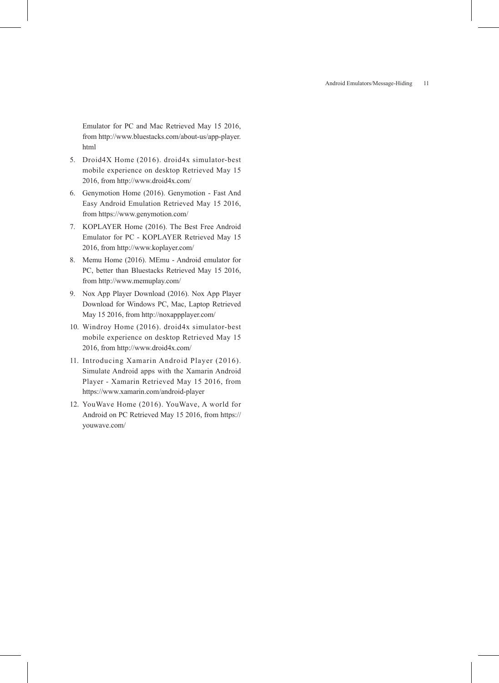Android Emulators/Message-Hiding 11

Emulator for PC and Mac Retrieved May 15 2016, from http://www.bluestacks.com/about-us/app-player. html

- 5. Droid4X Home (2016). droid4x simulator-best mobile experience on desktop Retrieved May 15 2016, from http://www.droid4x.com/
- 6. Genymotion Home (2016). Genymotion Fast And Easy Android Emulation Retrieved May 15 2016, from https://www.genymotion.com/
- 7. KOPLAYER Home (2016). The Best Free Android Emulator for PC - KOPLAYER Retrieved May 15 2016, from http://www.koplayer.com/
- 8. Memu Home (2016). MEmu Android emulator for PC, better than Bluestacks Retrieved May 15 2016, from http://www.memuplay.com/
- 9. Nox App Player Download (2016). Nox App Player Download for Windows PC, Mac, Laptop Retrieved May 15 2016, from http://noxappplayer.com/
- 10. Windroy Home (2016). droid4x simulator-best mobile experience on desktop Retrieved May 15 2016, from http://www.droid4x.com/
- 11. Introducing Xamarin Android Player (2016). Simulate Android apps with the Xamarin Android Player - Xamarin Retrieved May 15 2016, from https://www.xamarin.com/android-player
- 12. YouWave Home (2016). YouWave, A world for Android on PC Retrieved May 15 2016, from https:// youwave.com/